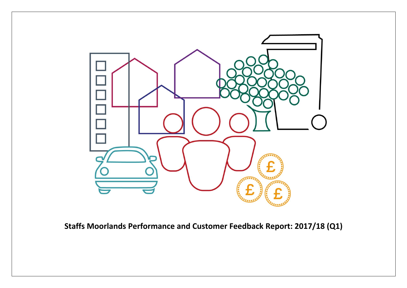

**Staffs Moorlands Performance and Customer Feedback Report: 2017/18 (Q1)**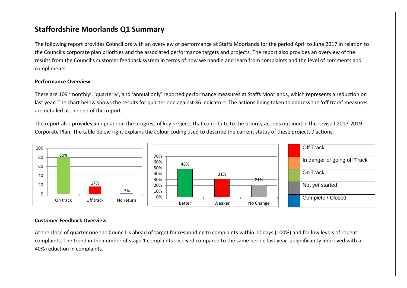## **Staffordshire Moorlands Q1 Summary**

The following report provides Councillors with an overview of performance at Staffs Moorlands for the period April to June 2017 in relation to the Council's corporate plan priorities and the associated performance targets and projects. The report also provides an overview of the results from the Council's customer feedback system in terms of how we handle and learn from complaints and the level of comments and compliments.

#### **Performance Overview**

There are 109 'monthly', 'quarterly', and 'annual only' reported performance measures at Staffs Moorlands, which represents a reduction on last year. The chart below shows the results for quarter one against 36 indicators. The actions being taken to address the 'off track' measures are detailed at the end of this report.

The report also provides an update on the progress of key projects that contribute to the priority actions outlined in the revised 2017-2019 Corporate Plan. The table below right explains the colour coding used to describe the current status of these projects / actions.



#### **Customer Feedback Overview**

At the close of quarter one the Council is ahead of target for responding to complaints within 10 days (100%) and for low levels of repeat complaints. The trend in the number of stage 1 complaints received compared to the same period last year is significantly improved with a 40% reduction in complaints.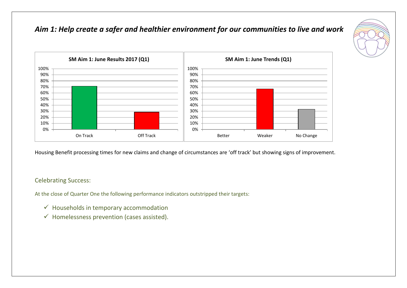## *Aim 1: Help create a safer and healthier environment for our communities to live and work*





Housing Benefit processing times for new claims and change of circumstances are 'off track' but showing signs of improvement.

### Celebrating Success:

At the close of Quarter One the following performance indicators outstripped their targets:

- $\checkmark$  Households in temporary accommodation
- $\checkmark$  Homelessness prevention (cases assisted).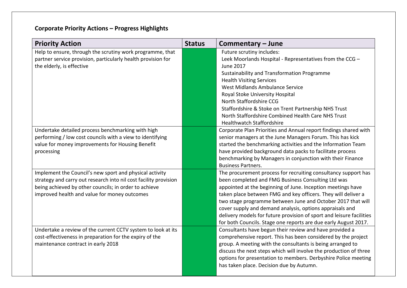| <b>Priority Action</b>                                           | <b>Status</b> | Commentary - June                                                                                                               |
|------------------------------------------------------------------|---------------|---------------------------------------------------------------------------------------------------------------------------------|
| Help to ensure, through the scrutiny work programme, that        |               | Future scrutiny includes:                                                                                                       |
| partner service provision, particularly health provision for     |               | Leek Moorlands Hospital - Representatives from the CCG -                                                                        |
| the elderly, is effective                                        |               | <b>June 2017</b>                                                                                                                |
|                                                                  |               | Sustainability and Transformation Programme                                                                                     |
|                                                                  |               | <b>Health Visiting Services</b>                                                                                                 |
|                                                                  |               | West Midlands Ambulance Service                                                                                                 |
|                                                                  |               | Royal Stoke University Hospital                                                                                                 |
|                                                                  |               | North Staffordshire CCG                                                                                                         |
|                                                                  |               | Staffordshire & Stoke on Trent Partnership NHS Trust                                                                            |
|                                                                  |               | North Staffordshire Combined Health Care NHS Trust                                                                              |
|                                                                  |               | <b>Healthwatch Staffordshire</b>                                                                                                |
| Undertake detailed process benchmarking with high                |               | Corporate Plan Priorities and Annual report findings shared with                                                                |
| performing / low cost councils with a view to identifying        |               | senior managers at the June Managers Forum. This has kick                                                                       |
| value for money improvements for Housing Benefit                 |               | started the benchmarking activities and the Information Team                                                                    |
| processing                                                       |               | have provided background data packs to facilitate process                                                                       |
|                                                                  |               | benchmarking by Managers in conjunction with their Finance                                                                      |
|                                                                  |               | <b>Business Partners.</b>                                                                                                       |
| Implement the Council's new sport and physical activity          |               | The procurement process for recruiting consultancy support has                                                                  |
| strategy and carry out research into nil cost facility provision |               | been completed and FMG Business Consulting Ltd was                                                                              |
| being achieved by other councils; in order to achieve            |               | appointed at the beginning of June. Inception meetings have                                                                     |
| improved health and value for money outcomes                     |               | taken place between FMG and key officers. They will deliver a                                                                   |
|                                                                  |               | two stage programme between June and October 2017 that will                                                                     |
|                                                                  |               | cover supply and demand analysis, options appraisals and                                                                        |
|                                                                  |               | delivery models for future provision of sport and leisure facilities                                                            |
|                                                                  |               | for both Councils. Stage one reports are due early August 2017.                                                                 |
| Undertake a review of the current CCTV system to look at its     |               | Consultants have begun their review and have provided a                                                                         |
| cost-effectiveness in preparation for the expiry of the          |               | comprehensive report. This has been considered by the project                                                                   |
| maintenance contract in early 2018                               |               | group. A meeting with the consultants is being arranged to<br>discuss the next steps which will involve the production of three |
|                                                                  |               | options for presentation to members. Derbyshire Police meeting                                                                  |
|                                                                  |               | has taken place. Decision due by Autumn.                                                                                        |
|                                                                  |               |                                                                                                                                 |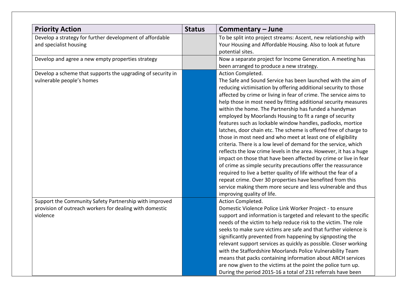| <b>Priority Action</b>                                                                                                        | <b>Status</b> | Commentary - June                                                                                                                                                                                                                                                                                                                                                                                                                                                                                                                                                                                                                                                                                                                                                                                                                                                                                                                                                                                                                                                                                                               |
|-------------------------------------------------------------------------------------------------------------------------------|---------------|---------------------------------------------------------------------------------------------------------------------------------------------------------------------------------------------------------------------------------------------------------------------------------------------------------------------------------------------------------------------------------------------------------------------------------------------------------------------------------------------------------------------------------------------------------------------------------------------------------------------------------------------------------------------------------------------------------------------------------------------------------------------------------------------------------------------------------------------------------------------------------------------------------------------------------------------------------------------------------------------------------------------------------------------------------------------------------------------------------------------------------|
| Develop a strategy for further development of affordable<br>and specialist housing                                            |               | To be split into project streams: Ascent, new relationship with<br>Your Housing and Affordable Housing. Also to look at future<br>potential sites.                                                                                                                                                                                                                                                                                                                                                                                                                                                                                                                                                                                                                                                                                                                                                                                                                                                                                                                                                                              |
| Develop and agree a new empty properties strategy                                                                             |               | Now a separate project for Income Generation. A meeting has<br>been arranged to produce a new strategy.                                                                                                                                                                                                                                                                                                                                                                                                                                                                                                                                                                                                                                                                                                                                                                                                                                                                                                                                                                                                                         |
| Develop a scheme that supports the upgrading of security in<br>vulnerable people's homes                                      |               | Action Completed.<br>The Safe and Sound Service has been launched with the aim of<br>reducing victimisation by offering additional security to those<br>affected by crime or living in fear of crime. The service aims to<br>help those in most need by fitting additional security measures<br>within the home. The Partnership has funded a handyman<br>employed by Moorlands Housing to fit a range of security<br>features such as lockable window handles, padlocks, mortice<br>latches, door chain etc. The scheme is offered free of charge to<br>those in most need and who meet at least one of eligibility<br>criteria. There is a low level of demand for the service, which<br>reflects the low crime levels in the area. However, it has a huge<br>impact on those that have been affected by crime or live in fear<br>of crime as simple security precautions offer the reassurance<br>required to live a better quality of life without the fear of a<br>repeat crime. Over 30 properties have benefited from this<br>service making them more secure and less vulnerable and thus<br>improving quality of life. |
| Support the Community Safety Partnership with improved<br>provision of outreach workers for dealing with domestic<br>violence |               | Action Completed.<br>Domestic Violence Police Link Worker Project - to ensure<br>support and information is targeted and relevant to the specific<br>needs of the victim to help reduce risk to the victim. The role<br>seeks to make sure victims are safe and that further violence is<br>significantly prevented from happening by signposting the<br>relevant support services as quickly as possible. Closer working<br>with the Staffordshire Moorlands Police Vulnerability Team<br>means that packs containing information about ARCH services<br>are now given to the victims at the point the police turn up.<br>During the period 2015-16 a total of 231 referrals have been                                                                                                                                                                                                                                                                                                                                                                                                                                         |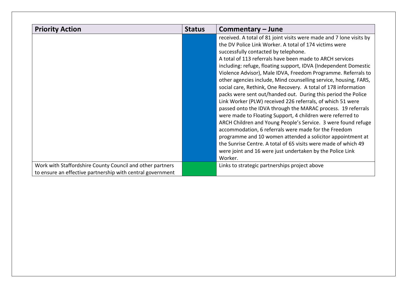| <b>Priority Action</b>                                                                                                  | <b>Status</b> | Commentary – June                                                                                                                                                                                                                                                                                                                                                                                                                                                                                                                                                                                                                                                                                                                                                                                                                                                                                 |
|-------------------------------------------------------------------------------------------------------------------------|---------------|---------------------------------------------------------------------------------------------------------------------------------------------------------------------------------------------------------------------------------------------------------------------------------------------------------------------------------------------------------------------------------------------------------------------------------------------------------------------------------------------------------------------------------------------------------------------------------------------------------------------------------------------------------------------------------------------------------------------------------------------------------------------------------------------------------------------------------------------------------------------------------------------------|
|                                                                                                                         |               | received. A total of 81 joint visits were made and 7 lone visits by<br>the DV Police Link Worker. A total of 174 victims were<br>successfully contacted by telephone.<br>A total of 113 referrals have been made to ARCH services<br>including: refuge, floating support, IDVA (Independent Domestic<br>Violence Advisor), Male IDVA, Freedom Programme. Referrals to<br>other agencies include, Mind counselling service, housing, FARS,<br>social care, Rethink, One Recovery. A total of 178 information<br>packs were sent out/handed out. During this period the Police<br>Link Worker (PLW) received 226 referrals, of which 51 were<br>passed onto the IDVA through the MARAC process. 19 referrals<br>were made to Floating Support, 4 children were referred to<br>ARCH Children and Young People's Service. 3 were found refuge<br>accommodation, 6 referrals were made for the Freedom |
|                                                                                                                         |               | programme and 10 women attended a solicitor appointment at<br>the Sunrise Centre. A total of 65 visits were made of which 49<br>were joint and 16 were just undertaken by the Police Link<br>Worker.                                                                                                                                                                                                                                                                                                                                                                                                                                                                                                                                                                                                                                                                                              |
| Work with Staffordshire County Council and other partners<br>to ensure an effective partnership with central government |               | Links to strategic partnerships project above                                                                                                                                                                                                                                                                                                                                                                                                                                                                                                                                                                                                                                                                                                                                                                                                                                                     |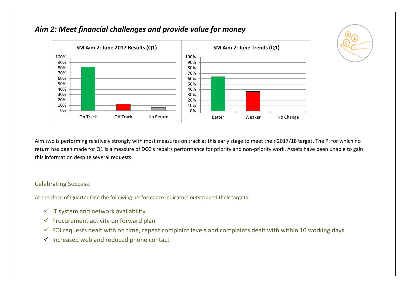

## *Aim 2: Meet financial challenges and provide value for money*

Aim two is performing relatively strongly with most measures on track at this early stage to meet their 2017/18 target. The PI for which no return has been made for Q1 is a measure of DCC's repairs performance for priority and non-priority work. Assets have been unable to gain this information despite several requests.

#### Celebrating Success:

At the close of Quarter One the following performance indicators outstripped their targets:

- $\checkmark$  IT system and network availability
- $\checkmark$  Procurement activity on forward plan
- $\checkmark$  FOI requests dealt with on time, repeat complaint levels and complaints dealt with within 10 working days
- $\checkmark$  Increased web and reduced phone contact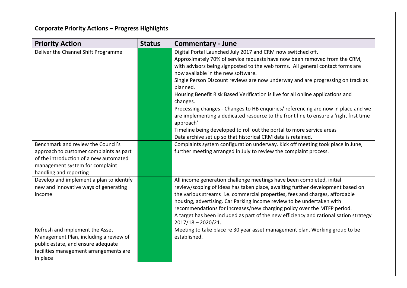| <b>Priority Action</b>                                                                                                                                                               | <b>Status</b> | <b>Commentary - June</b>                                                                                                                                                                                                                                                                                                                                                                                                                                                                                                                                                                                                                                                                                                                                                                           |
|--------------------------------------------------------------------------------------------------------------------------------------------------------------------------------------|---------------|----------------------------------------------------------------------------------------------------------------------------------------------------------------------------------------------------------------------------------------------------------------------------------------------------------------------------------------------------------------------------------------------------------------------------------------------------------------------------------------------------------------------------------------------------------------------------------------------------------------------------------------------------------------------------------------------------------------------------------------------------------------------------------------------------|
| Deliver the Channel Shift Programme                                                                                                                                                  |               | Digital Portal Launched July 2017 and CRM now switched off.<br>Approximately 70% of service requests have now been removed from the CRM,<br>with advisors being signposted to the web forms. All general contact forms are<br>now available in the new software.<br>Single Person Discount reviews are now underway and are progressing on track as<br>planned.<br>Housing Benefit Risk Based Verification is live for all online applications and<br>changes.<br>Processing changes - Changes to HB enquiries/ referencing are now in place and we<br>are implementing a dedicated resource to the front line to ensure a 'right first time<br>approach'<br>Timeline being developed to roll out the portal to more service areas<br>Data archive set up so that historical CRM data is retained. |
| Benchmark and review the Council's<br>approach to customer complaints as part<br>of the introduction of a new automated<br>management system for complaint<br>handling and reporting |               | Complaints system configuration underway. Kick off meeting took place in June,<br>further meeting arranged in July to review the complaint process.                                                                                                                                                                                                                                                                                                                                                                                                                                                                                                                                                                                                                                                |
| Develop and implement a plan to identify<br>new and innovative ways of generating<br>income                                                                                          |               | All income generation challenge meetings have been completed, initial<br>review/scoping of ideas has taken place, awaiting further development based on<br>the various streams i.e. commercial properties, fees and charges, affordable<br>housing, advertising. Car Parking income review to be undertaken with<br>recommendations for increases/new charging policy over the MTFP period.<br>A target has been included as part of the new efficiency and rationalisation strategy<br>$2017/18 - 2020/21.$                                                                                                                                                                                                                                                                                       |
| Refresh and implement the Asset<br>Management Plan, including a review of<br>public estate, and ensure adequate<br>facilities management arrangements are<br>in place                |               | Meeting to take place re 30 year asset management plan. Working group to be<br>established.                                                                                                                                                                                                                                                                                                                                                                                                                                                                                                                                                                                                                                                                                                        |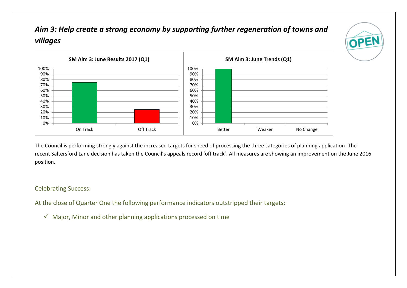# *Aim 3: Help create a strong economy by supporting further regeneration of towns and villages*





The Council is performing strongly against the increased targets for speed of processing the three categories of planning application. The recent Saltersford Lane decision has taken the Council's appeals record 'off track'. All measures are showing an improvement on the June 2016 position.

#### Celebrating Success:

At the close of Quarter One the following performance indicators outstripped their targets:

 $\checkmark$  Major, Minor and other planning applications processed on time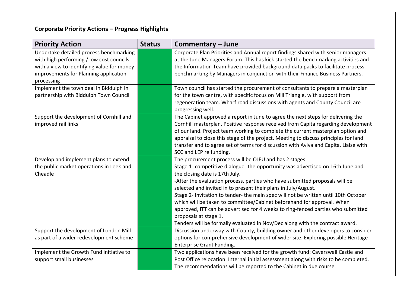| <b>Priority Action</b>                                                                                                                                                                   | <b>Status</b> | Commentary - June                                                                                                                                                                                                                                                                                                                                                                                                                                                                                                                                                                                                                                                                         |
|------------------------------------------------------------------------------------------------------------------------------------------------------------------------------------------|---------------|-------------------------------------------------------------------------------------------------------------------------------------------------------------------------------------------------------------------------------------------------------------------------------------------------------------------------------------------------------------------------------------------------------------------------------------------------------------------------------------------------------------------------------------------------------------------------------------------------------------------------------------------------------------------------------------------|
| Undertake detailed process benchmarking<br>with high performing / low cost councils<br>with a view to identifying value for money<br>improvements for Planning application<br>processing |               | Corporate Plan Priorities and Annual report findings shared with senior managers<br>at the June Managers Forum. This has kick started the benchmarking activities and<br>the Information Team have provided background data packs to facilitate process<br>benchmarking by Managers in conjunction with their Finance Business Partners.                                                                                                                                                                                                                                                                                                                                                  |
| Implement the town deal in Biddulph in<br>partnership with Biddulph Town Council                                                                                                         |               | Town council has started the procurement of consultants to prepare a masterplan<br>for the town centre, with specific focus on Mill Triangle, with support from<br>regeneration team. Wharf road discussions with agents and County Council are<br>progressing well.                                                                                                                                                                                                                                                                                                                                                                                                                      |
| Support the development of Cornhill and<br>improved rail links                                                                                                                           |               | The Cabinet approved a report in June to agree the next steps for delivering the<br>Cornhill masterplan. Positive response received from Capita regarding development<br>of our land. Project team working to complete the current masterplan option and<br>appraisal to close this stage of the project. Meeting to discuss principles for land<br>transfer and to agree set of terms for discussion with Aviva and Capita. Liaise with<br>SCC and LEP re funding.                                                                                                                                                                                                                       |
| Develop and implement plans to extend<br>the public market operations in Leek and<br>Cheadle                                                                                             |               | The procurement process will be OJEU and has 2 stages:<br>Stage 1- competitive dialogue- the opportunity was advertised on 16th June and<br>the closing date is 17th July.<br>-After the evaluation process, parties who have submitted proposals will be<br>selected and invited in to present their plans in July/August.<br>Stage 2- Invitation to tender- the main spec will not be written until 10th October<br>which will be taken to committee/Cabinet beforehand for approval. When<br>approved, ITT can be advertised for 4 weeks to ring-fenced parties who submitted<br>proposals at stage 1.<br>Tenders will be formally evaluated in Nov/Dec along with the contract award. |
| Support the development of London Mill<br>as part of a wider redevelopment scheme                                                                                                        |               | Discussion underway with County, building owner and other developers to consider<br>options for comprehensive development of wider site. Exploring possible Heritage<br>Enterprise Grant Funding.                                                                                                                                                                                                                                                                                                                                                                                                                                                                                         |
| Implement the Growth Fund initiative to<br>support small businesses                                                                                                                      |               | Two applications have been received for the growth fund: Caverswall Castle and<br>Post Office relocation. Internal initial assessment along with risks to be completed.<br>The recommendations will be reported to the Cabinet in due course.                                                                                                                                                                                                                                                                                                                                                                                                                                             |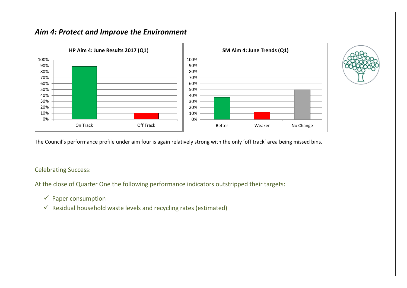## *Aim 4: Protect and Improve the Environment*



The Council's performance profile under aim four is again relatively strong with the only 'off track' area being missed bins.

### Celebrating Success:

At the close of Quarter One the following performance indicators outstripped their targets:

- $\checkmark$  Paper consumption
- $\checkmark$  Residual household waste levels and recycling rates (estimated)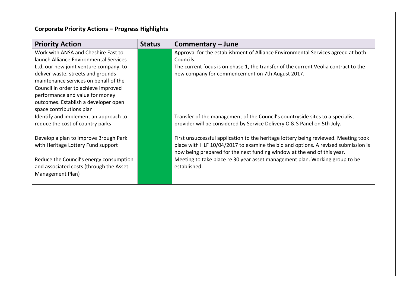| <b>Priority Action</b>                  | <b>Status</b> | Commentary – June                                                                   |
|-----------------------------------------|---------------|-------------------------------------------------------------------------------------|
| Work with ANSA and Cheshire East to     |               | Approval for the establishment of Alliance Environmental Services agreed at both    |
| launch Alliance Environmental Services  |               | Councils.                                                                           |
| Ltd, our new joint venture company, to  |               | The current focus is on phase 1, the transfer of the current Veolia contract to the |
| deliver waste, streets and grounds      |               | new company for commencement on 7th August 2017.                                    |
| maintenance services on behalf of the   |               |                                                                                     |
| Council in order to achieve improved    |               |                                                                                     |
| performance and value for money         |               |                                                                                     |
| outcomes. Establish a developer open    |               |                                                                                     |
| space contributions plan                |               |                                                                                     |
| Identify and implement an approach to   |               | Transfer of the management of the Council's countryside sites to a specialist       |
| reduce the cost of country parks        |               | provider will be considered by Service Delivery O & S Panel on 5th July.            |
| Develop a plan to improve Brough Park   |               | First unsuccessful application to the heritage lottery being reviewed. Meeting took |
| with Heritage Lottery Fund support      |               | place with HLF 10/04/2017 to examine the bid and options. A revised submission is   |
|                                         |               | now being prepared for the next funding window at the end of this year.             |
| Reduce the Council's energy consumption |               | Meeting to take place re 30 year asset management plan. Working group to be         |
| and associated costs (through the Asset |               | established.                                                                        |
| Management Plan)                        |               |                                                                                     |
|                                         |               |                                                                                     |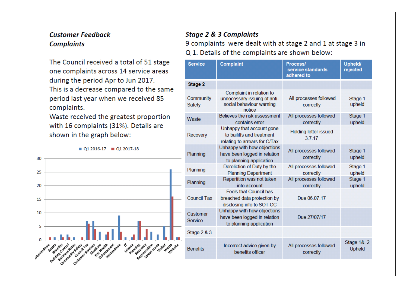## **Customer Feedback Complaints**

The Council received a total of 51 stage one complaints across 14 service areas during the period Apr to Jun 2017. This is a decrease compared to the same period last year when we received 85 complaints.

Waste received the greatest proportion with 16 complaints (31%). Details are shown in the graph below:

 $\blacksquare$  01 2016-17  $\blacksquare$  01 2017-18



### **Stage 2 & 3 Complaints**

9 complaints were dealt with at stage 2 and 1 at stage 3 in Q 1. Details of the complaints are shown below:

| <b>Service</b>      | <b>Complaint</b>                                                                               | <b>Process/</b><br>service standards<br>adhered to | Upheld/<br>rejected  |  |
|---------------------|------------------------------------------------------------------------------------------------|----------------------------------------------------|----------------------|--|
| <b>Stage 2</b>      |                                                                                                |                                                    |                      |  |
| Community<br>Safety | Complaint in relation to<br>unnecessary issuing of anti-<br>social behaviour warning<br>notice | All processes followed<br>correctly                | Stage 1<br>upheld    |  |
| Waste               | Believes the risk assessment<br>contains error                                                 | All processes followed<br>correctly                | Stage 1<br>upheld    |  |
| Recovery            | Unhappy that account gone<br>to bailiffs and treatment<br>relating to arrears for C/Tax        | <b>Holding letter issued</b><br>3.7.17             |                      |  |
| Planning            | Unhappy with how objections<br>have been logged in relation<br>to planning application         | All processes followed<br>correctly                | Stage 1<br>upheld    |  |
| Planning            | Dereliction of Duty by the<br><b>Planning Department</b>                                       | All processes followed<br>correctly                | Stage 1<br>upheld    |  |
| Planning            | Repartition was not taken<br>into account                                                      | All processes followed<br>correctly                | Stage 1<br>upheld    |  |
| <b>Council Tax</b>  | <b>Feels that Council has</b><br>breached data protection by<br>disclosing info to SOT CC      | Due 06.07.17                                       |                      |  |
| Customer<br>Service | Unhappy with how objections<br>have been logged in relation<br>to planning application         | Due 27/07/17                                       |                      |  |
| Stage 2 & 3         |                                                                                                |                                                    |                      |  |
| <b>Benefits</b>     | Incorrect advice given by<br>benefits officer                                                  | All processes followed<br>correctly                | Stage 1& 2<br>Upheld |  |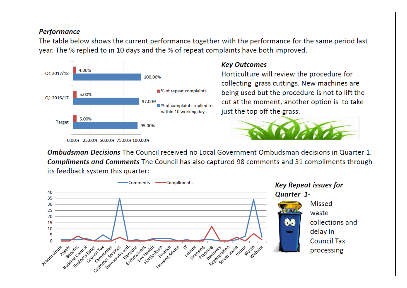## **Performance**

The table below shows the current performance together with the performance for the same period last year. The % replied to in 10 days and the % of repeat complaints have both improved.



### **Key Outcomes**

Horticulture will review the procedure for collecting grass cuttings. New machines are being used but the procedure is not to lift the cut at the moment, another option is to take just the top off the grass.



Ombudsman Decisions The Council received no Local Government Ombudsman decisions in Quarter 1. **Compliments and Comments** The Council has also captured 98 comments and 31 compliments through its feedback system this quarter: